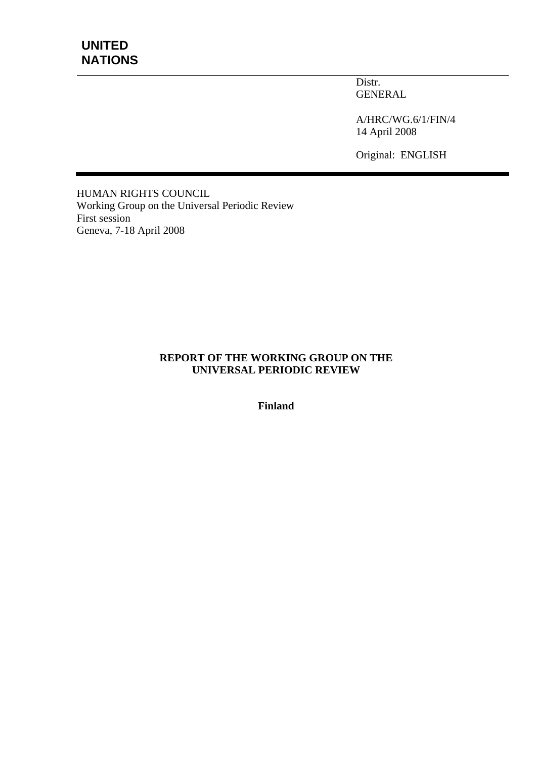Distr. GENERAL

A/HRC/WG.6/1/FIN/4 14 April 2008

Original: ENGLISH

HUMAN RIGHTS COUNCIL Working Group on the Universal Periodic Review First session Geneva, 7-18 April 2008

#### **REPORT OF THE WORKING GROUP ON THE UNIVERSAL PERIODIC REVIEW**

**Finland**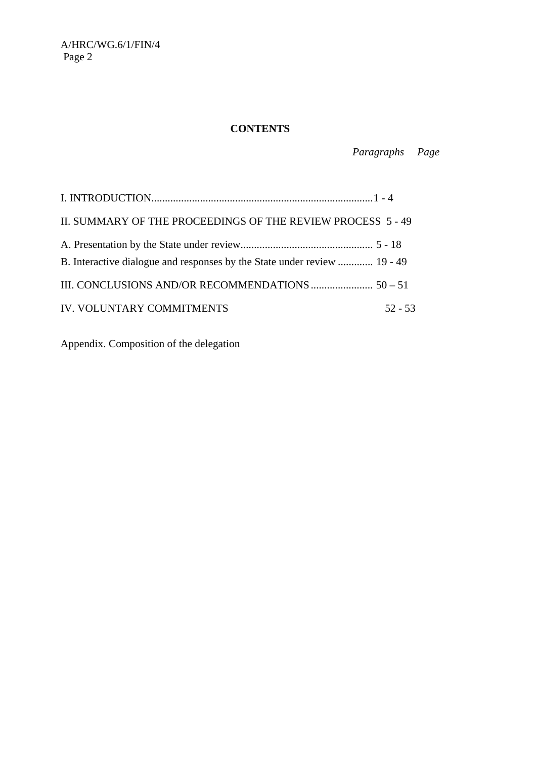# **CONTENTS**

 *Paragraphs Page* 

| II. SUMMARY OF THE PROCEEDINGS OF THE REVIEW PROCESS 5 - 49              |           |
|--------------------------------------------------------------------------|-----------|
| B. Interactive dialogue and responses by the State under review  19 - 49 |           |
|                                                                          |           |
| IV. VOLUNTARY COMMITMENTS                                                | $52 - 53$ |

Appendix. Composition of the delegation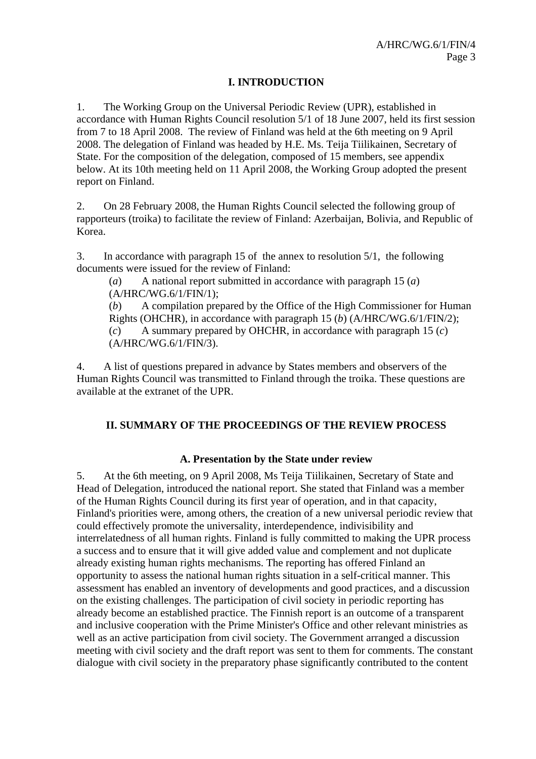### **I. INTRODUCTION**

1. The Working Group on the Universal Periodic Review (UPR), established in accordance with Human Rights Council resolution 5/1 of 18 June 2007, held its first session from 7 to 18 April 2008. The review of Finland was held at the 6th meeting on 9 April 2008. The delegation of Finland was headed by H.E. Ms. Teija Tiilikainen, Secretary of State. For the composition of the delegation, composed of 15 members, see appendix below. At its 10th meeting held on 11 April 2008, the Working Group adopted the present report on Finland.

2. On 28 February 2008, the Human Rights Council selected the following group of rapporteurs (troika) to facilitate the review of Finland: Azerbaijan, Bolivia, and Republic of Korea.

3. In accordance with paragraph 15 of the annex to resolution 5/1, the following documents were issued for the review of Finland:

(*a*) A national report submitted in accordance with paragraph 15 (*a*) (A/HRC/WG.6/1/FIN/1);

(*b*) A compilation prepared by the Office of the High Commissioner for Human Rights (OHCHR), in accordance with paragraph 15 (*b*) (A/HRC/WG.6/1/FIN/2); (*c*) A summary prepared by OHCHR, in accordance with paragraph 15 (*c*) (A/HRC/WG.6/1/FIN/3).

4. A list of questions prepared in advance by States members and observers of the Human Rights Council was transmitted to Finland through the troika. These questions are available at the extranet of the UPR.

### **II. SUMMARY OF THE PROCEEDINGS OF THE REVIEW PROCESS**

### **A. Presentation by the State under review**

5. At the 6th meeting, on 9 April 2008, Ms Teija Tiilikainen, Secretary of State and Head of Delegation, introduced the national report. She stated that Finland was a member of the Human Rights Council during its first year of operation, and in that capacity, Finland's priorities were, among others, the creation of a new universal periodic review that could effectively promote the universality, interdependence, indivisibility and interrelatedness of all human rights. Finland is fully committed to making the UPR process a success and to ensure that it will give added value and complement and not duplicate already existing human rights mechanisms. The reporting has offered Finland an opportunity to assess the national human rights situation in a self-critical manner. This assessment has enabled an inventory of developments and good practices, and a discussion on the existing challenges. The participation of civil society in periodic reporting has already become an established practice. The Finnish report is an outcome of a transparent and inclusive cooperation with the Prime Minister's Office and other relevant ministries as well as an active participation from civil society. The Government arranged a discussion meeting with civil society and the draft report was sent to them for comments. The constant dialogue with civil society in the preparatory phase significantly contributed to the content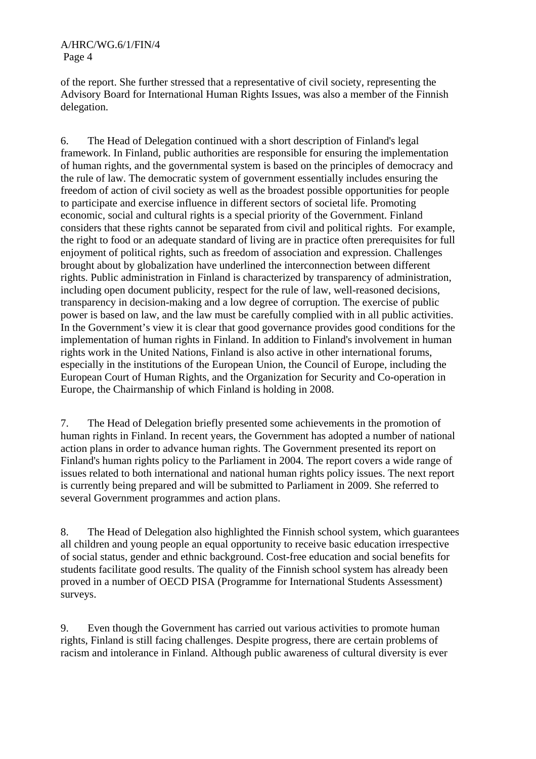of the report. She further stressed that a representative of civil society, representing the Advisory Board for International Human Rights Issues, was also a member of the Finnish delegation.

6. The Head of Delegation continued with a short description of Finland's legal framework. In Finland, public authorities are responsible for ensuring the implementation of human rights, and the governmental system is based on the principles of democracy and the rule of law. The democratic system of government essentially includes ensuring the freedom of action of civil society as well as the broadest possible opportunities for people to participate and exercise influence in different sectors of societal life. Promoting economic, social and cultural rights is a special priority of the Government. Finland considers that these rights cannot be separated from civil and political rights. For example, the right to food or an adequate standard of living are in practice often prerequisites for full enjoyment of political rights, such as freedom of association and expression. Challenges brought about by globalization have underlined the interconnection between different rights. Public administration in Finland is characterized by transparency of administration, including open document publicity, respect for the rule of law, well-reasoned decisions, transparency in decision-making and a low degree of corruption. The exercise of public power is based on law, and the law must be carefully complied with in all public activities. In the Government's view it is clear that good governance provides good conditions for the implementation of human rights in Finland. In addition to Finland's involvement in human rights work in the United Nations, Finland is also active in other international forums, especially in the institutions of the European Union, the Council of Europe, including the European Court of Human Rights, and the Organization for Security and Co-operation in Europe, the Chairmanship of which Finland is holding in 2008.

7. The Head of Delegation briefly presented some achievements in the promotion of human rights in Finland. In recent years, the Government has adopted a number of national action plans in order to advance human rights. The Government presented its report on Finland's human rights policy to the Parliament in 2004. The report covers a wide range of issues related to both international and national human rights policy issues. The next report is currently being prepared and will be submitted to Parliament in 2009. She referred to several Government programmes and action plans.

8. The Head of Delegation also highlighted the Finnish school system, which guarantees all children and young people an equal opportunity to receive basic education irrespective of social status, gender and ethnic background. Cost-free education and social benefits for students facilitate good results. The quality of the Finnish school system has already been proved in a number of OECD PISA (Programme for International Students Assessment) surveys.

9. Even though the Government has carried out various activities to promote human rights, Finland is still facing challenges. Despite progress, there are certain problems of racism and intolerance in Finland. Although public awareness of cultural diversity is ever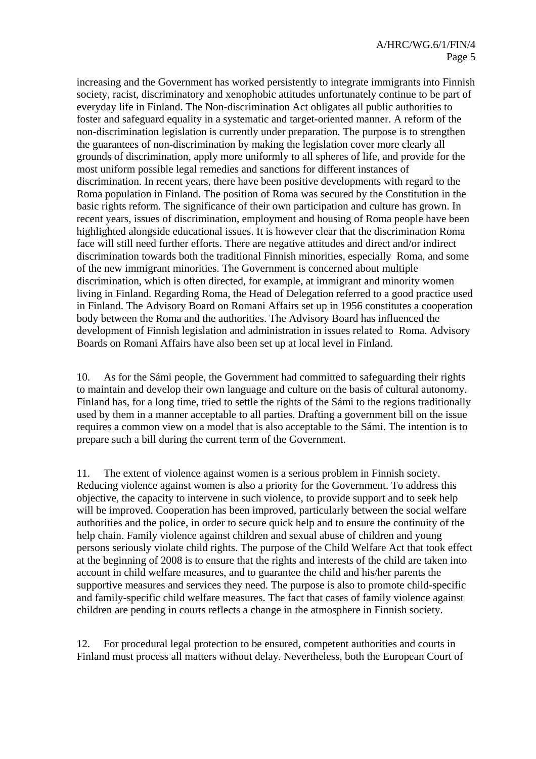increasing and the Government has worked persistently to integrate immigrants into Finnish society, racist, discriminatory and xenophobic attitudes unfortunately continue to be part of everyday life in Finland. The Non-discrimination Act obligates all public authorities to foster and safeguard equality in a systematic and target-oriented manner. A reform of the non-discrimination legislation is currently under preparation. The purpose is to strengthen the guarantees of non-discrimination by making the legislation cover more clearly all grounds of discrimination, apply more uniformly to all spheres of life, and provide for the most uniform possible legal remedies and sanctions for different instances of discrimination. In recent years, there have been positive developments with regard to the Roma population in Finland. The position of Roma was secured by the Constitution in the basic rights reform. The significance of their own participation and culture has grown. In recent years, issues of discrimination, employment and housing of Roma people have been highlighted alongside educational issues. It is however clear that the discrimination Roma face will still need further efforts. There are negative attitudes and direct and/or indirect discrimination towards both the traditional Finnish minorities, especially Roma, and some of the new immigrant minorities. The Government is concerned about multiple discrimination, which is often directed, for example, at immigrant and minority women living in Finland. Regarding Roma, the Head of Delegation referred to a good practice used in Finland. The Advisory Board on Romani Affairs set up in 1956 constitutes a cooperation body between the Roma and the authorities. The Advisory Board has influenced the development of Finnish legislation and administration in issues related to Roma. Advisory Boards on Romani Affairs have also been set up at local level in Finland.

10. As for the Sámi people, the Government had committed to safeguarding their rights to maintain and develop their own language and culture on the basis of cultural autonomy. Finland has, for a long time, tried to settle the rights of the Sámi to the regions traditionally used by them in a manner acceptable to all parties. Drafting a government bill on the issue requires a common view on a model that is also acceptable to the Sámi. The intention is to prepare such a bill during the current term of the Government.

11. The extent of violence against women is a serious problem in Finnish society. Reducing violence against women is also a priority for the Government. To address this objective, the capacity to intervene in such violence, to provide support and to seek help will be improved. Cooperation has been improved, particularly between the social welfare authorities and the police, in order to secure quick help and to ensure the continuity of the help chain. Family violence against children and sexual abuse of children and young persons seriously violate child rights. The purpose of the Child Welfare Act that took effect at the beginning of 2008 is to ensure that the rights and interests of the child are taken into account in child welfare measures, and to guarantee the child and his/her parents the supportive measures and services they need. The purpose is also to promote child-specific and family-specific child welfare measures. The fact that cases of family violence against children are pending in courts reflects a change in the atmosphere in Finnish society.

12. For procedural legal protection to be ensured, competent authorities and courts in Finland must process all matters without delay. Nevertheless, both the European Court of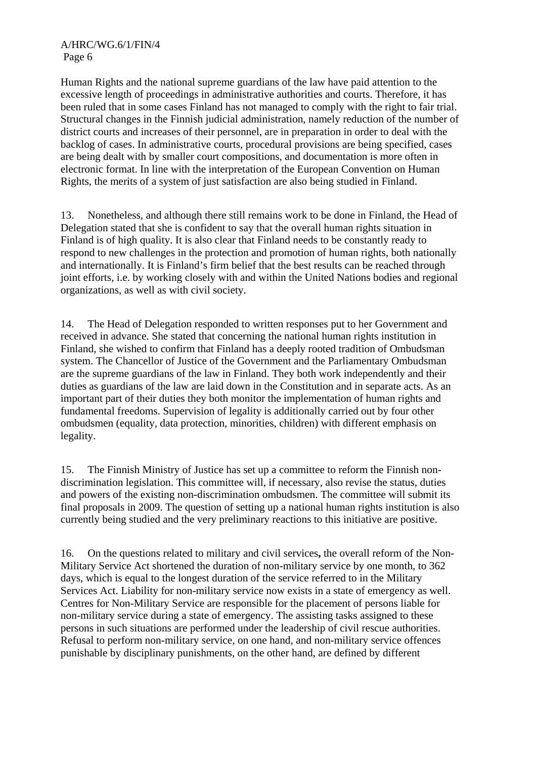Human Rights and the national supreme guardians of the law have paid attention to the excessive length of proceedings in administrative authorities and courts. Therefore, it has been ruled that in some cases Finland has not managed to comply with the right to fair trial. Structural changes in the Finnish judicial administration, namely reduction of the number of district courts and increases of their personnel, are in preparation in order to deal with the backlog of cases. In administrative courts, procedural provisions are being specified, cases are being dealt with by smaller court compositions, and documentation is more often in electronic format. In line with the interpretation of the European Convention on Human Rights, the merits of a system of just satisfaction are also being studied in Finland.

13. Nonetheless, and although there still remains work to be done in Finland, the Head of Delegation stated that she is confident to say that the overall human rights situation in Finland is of high quality. It is also clear that Finland needs to be constantly ready to respond to new challenges in the protection and promotion of human rights, both nationally and internationally. It is Finland's firm belief that the best results can be reached through joint efforts, i.e. by working closely with and within the United Nations bodies and regional organizations, as well as with civil society.

14. The Head of Delegation responded to written responses put to her Government and received in advance. She stated that concerning the national human rights institution in Finland, she wished to confirm that Finland has a deeply rooted tradition of Ombudsman system. The Chancellor of Justice of the Government and the Parliamentary Ombudsman are the supreme guardians of the law in Finland. They both work independently and their duties as guardians of the law are laid down in the Constitution and in separate acts. As an important part of their duties they both monitor the implementation of human rights and fundamental freedoms. Supervision of legality is additionally carried out by four other ombudsmen (equality, data protection, minorities, children) with different emphasis on legality.

15. The Finnish Ministry of Justice has set up a committee to reform the Finnish nondiscrimination legislation. This committee will, if necessary, also revise the status, duties and powers of the existing non-discrimination ombudsmen. The committee will submit its final proposals in 2009. The question of setting up a national human rights institution is also currently being studied and the very preliminary reactions to this initiative are positive.

16. On the questions related to military and civil services**,** the overall reform of the Non-Military Service Act shortened the duration of non-military service by one month, to 362 days, which is equal to the longest duration of the service referred to in the Military Services Act. Liability for non-military service now exists in a state of emergency as well. Centres for Non-Military Service are responsible for the placement of persons liable for non-military service during a state of emergency. The assisting tasks assigned to these persons in such situations are performed under the leadership of civil rescue authorities. Refusal to perform non-military service, on one hand, and non-military service offences punishable by disciplinary punishments, on the other hand, are defined by different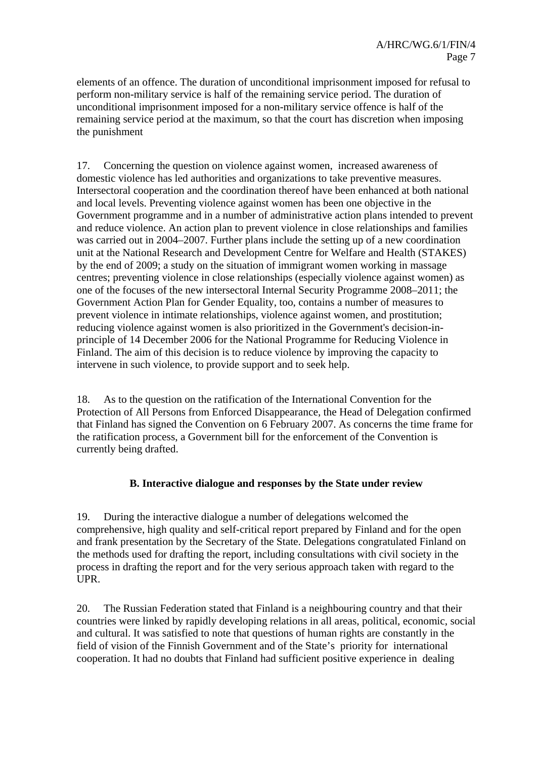elements of an offence. The duration of unconditional imprisonment imposed for refusal to perform non-military service is half of the remaining service period. The duration of unconditional imprisonment imposed for a non-military service offence is half of the remaining service period at the maximum, so that the court has discretion when imposing the punishment

17. Concerning the question on violence against women, increased awareness of domestic violence has led authorities and organizations to take preventive measures. Intersectoral cooperation and the coordination thereof have been enhanced at both national and local levels. Preventing violence against women has been one objective in the Government programme and in a number of administrative action plans intended to prevent and reduce violence. An action plan to prevent violence in close relationships and families was carried out in 2004–2007. Further plans include the setting up of a new coordination unit at the National Research and Development Centre for Welfare and Health (STAKES) by the end of 2009; a study on the situation of immigrant women working in massage centres; preventing violence in close relationships (especially violence against women) as one of the focuses of the new intersectoral Internal Security Programme 2008–2011; the Government Action Plan for Gender Equality, too, contains a number of measures to prevent violence in intimate relationships, violence against women, and prostitution; reducing violence against women is also prioritized in the Government's decision-inprinciple of 14 December 2006 for the National Programme for Reducing Violence in Finland. The aim of this decision is to reduce violence by improving the capacity to intervene in such violence, to provide support and to seek help.

18. As to the question on the ratification of the International Convention for the Protection of All Persons from Enforced Disappearance, the Head of Delegation confirmed that Finland has signed the Convention on 6 February 2007. As concerns the time frame for the ratification process, a Government bill for the enforcement of the Convention is currently being drafted.

### **B. Interactive dialogue and responses by the State under review**

19. During the interactive dialogue a number of delegations welcomed the comprehensive, high quality and self-critical report prepared by Finland and for the open and frank presentation by the Secretary of the State. Delegations congratulated Finland on the methods used for drafting the report, including consultations with civil society in the process in drafting the report and for the very serious approach taken with regard to the UPR.

20. The Russian Federation stated that Finland is a neighbouring country and that their countries were linked by rapidly developing relations in all areas, political, economic, social and cultural. It was satisfied to note that questions of human rights are constantly in the field of vision of the Finnish Government and of the State's priority for international cooperation. It had no doubts that Finland had sufficient positive experience in dealing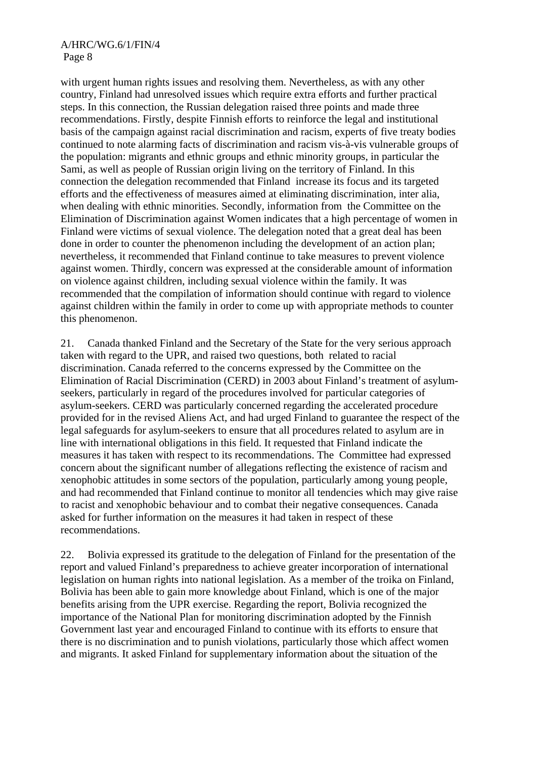with urgent human rights issues and resolving them. Nevertheless, as with any other country, Finland had unresolved issues which require extra efforts and further practical steps. In this connection, the Russian delegation raised three points and made three recommendations. Firstly, despite Finnish efforts to reinforce the legal and institutional basis of the campaign against racial discrimination and racism, experts of five treaty bodies continued to note alarming facts of discrimination and racism vis-à-vis vulnerable groups of the population: migrants and ethnic groups and ethnic minority groups, in particular the Sami, as well as people of Russian origin living on the territory of Finland. In this connection the delegation recommended that Finland increase its focus and its targeted efforts and the effectiveness of measures aimed at eliminating discrimination, inter alia, when dealing with ethnic minorities. Secondly, information from the Committee on the Elimination of Discrimination against Women indicates that a high percentage of women in Finland were victims of sexual violence. The delegation noted that a great deal has been done in order to counter the phenomenon including the development of an action plan; nevertheless, it recommended that Finland continue to take measures to prevent violence against women. Thirdly, concern was expressed at the considerable amount of information on violence against children, including sexual violence within the family. It was recommended that the compilation of information should continue with regard to violence against children within the family in order to come up with appropriate methods to counter this phenomenon.

21. Canada thanked Finland and the Secretary of the State for the very serious approach taken with regard to the UPR, and raised two questions, both related to racial discrimination. Canada referred to the concerns expressed by the Committee on the Elimination of Racial Discrimination (CERD) in 2003 about Finland's treatment of asylumseekers, particularly in regard of the procedures involved for particular categories of asylum-seekers. CERD was particularly concerned regarding the accelerated procedure provided for in the revised Aliens Act, and had urged Finland to guarantee the respect of the legal safeguards for asylum-seekers to ensure that all procedures related to asylum are in line with international obligations in this field. It requested that Finland indicate the measures it has taken with respect to its recommendations. The Committee had expressed concern about the significant number of allegations reflecting the existence of racism and xenophobic attitudes in some sectors of the population, particularly among young people, and had recommended that Finland continue to monitor all tendencies which may give raise to racist and xenophobic behaviour and to combat their negative consequences. Canada asked for further information on the measures it had taken in respect of these recommendations.

22. Bolivia expressed its gratitude to the delegation of Finland for the presentation of the report and valued Finland's preparedness to achieve greater incorporation of international legislation on human rights into national legislation. As a member of the troika on Finland, Bolivia has been able to gain more knowledge about Finland, which is one of the major benefits arising from the UPR exercise. Regarding the report, Bolivia recognized the importance of the National Plan for monitoring discrimination adopted by the Finnish Government last year and encouraged Finland to continue with its efforts to ensure that there is no discrimination and to punish violations, particularly those which affect women and migrants. It asked Finland for supplementary information about the situation of the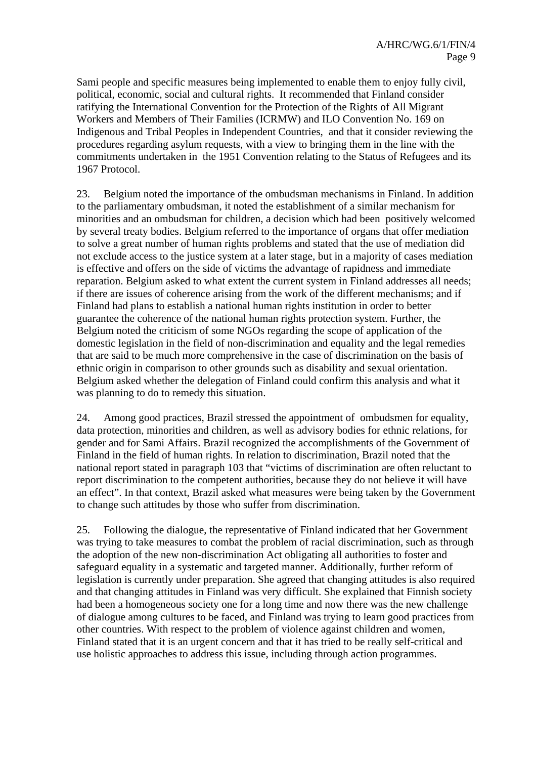Sami people and specific measures being implemented to enable them to enjoy fully civil, political, economic, social and cultural rights. It recommended that Finland consider ratifying the International Convention for the Protection of the Rights of All Migrant Workers and Members of Their Families (ICRMW) and ILO Convention No. 169 on Indigenous and Tribal Peoples in Independent Countries, and that it consider reviewing the procedures regarding asylum requests, with a view to bringing them in the line with the commitments undertaken in the 1951 Convention relating to the Status of Refugees and its 1967 Protocol.

23. Belgium noted the importance of the ombudsman mechanisms in Finland. In addition to the parliamentary ombudsman, it noted the establishment of a similar mechanism for minorities and an ombudsman for children, a decision which had been positively welcomed by several treaty bodies. Belgium referred to the importance of organs that offer mediation to solve a great number of human rights problems and stated that the use of mediation did not exclude access to the justice system at a later stage, but in a majority of cases mediation is effective and offers on the side of victims the advantage of rapidness and immediate reparation. Belgium asked to what extent the current system in Finland addresses all needs; if there are issues of coherence arising from the work of the different mechanisms; and if Finland had plans to establish a national human rights institution in order to better guarantee the coherence of the national human rights protection system. Further, the Belgium noted the criticism of some NGOs regarding the scope of application of the domestic legislation in the field of non-discrimination and equality and the legal remedies that are said to be much more comprehensive in the case of discrimination on the basis of ethnic origin in comparison to other grounds such as disability and sexual orientation. Belgium asked whether the delegation of Finland could confirm this analysis and what it was planning to do to remedy this situation.

24. Among good practices, Brazil stressed the appointment of ombudsmen for equality, data protection, minorities and children, as well as advisory bodies for ethnic relations, for gender and for Sami Affairs. Brazil recognized the accomplishments of the Government of Finland in the field of human rights. In relation to discrimination, Brazil noted that the national report stated in paragraph 103 that "victims of discrimination are often reluctant to report discrimination to the competent authorities, because they do not believe it will have an effect". In that context, Brazil asked what measures were being taken by the Government to change such attitudes by those who suffer from discrimination.

25. Following the dialogue, the representative of Finland indicated that her Government was trying to take measures to combat the problem of racial discrimination, such as through the adoption of the new non-discrimination Act obligating all authorities to foster and safeguard equality in a systematic and targeted manner. Additionally, further reform of legislation is currently under preparation. She agreed that changing attitudes is also required and that changing attitudes in Finland was very difficult. She explained that Finnish society had been a homogeneous society one for a long time and now there was the new challenge of dialogue among cultures to be faced, and Finland was trying to learn good practices from other countries. With respect to the problem of violence against children and women, Finland stated that it is an urgent concern and that it has tried to be really self-critical and use holistic approaches to address this issue, including through action programmes.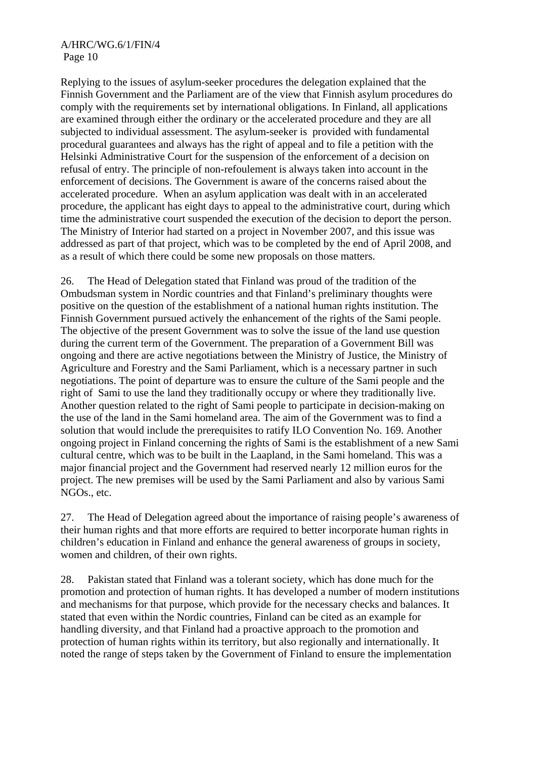Replying to the issues of asylum-seeker procedures the delegation explained that the Finnish Government and the Parliament are of the view that Finnish asylum procedures do comply with the requirements set by international obligations. In Finland, all applications are examined through either the ordinary or the accelerated procedure and they are all subjected to individual assessment. The asylum-seeker is provided with fundamental procedural guarantees and always has the right of appeal and to file a petition with the Helsinki Administrative Court for the suspension of the enforcement of a decision on refusal of entry. The principle of non-refoulement is always taken into account in the enforcement of decisions. The Government is aware of the concerns raised about the accelerated procedure. When an asylum application was dealt with in an accelerated procedure, the applicant has eight days to appeal to the administrative court, during which time the administrative court suspended the execution of the decision to deport the person. The Ministry of Interior had started on a project in November 2007, and this issue was addressed as part of that project, which was to be completed by the end of April 2008, and as a result of which there could be some new proposals on those matters.

26. The Head of Delegation stated that Finland was proud of the tradition of the Ombudsman system in Nordic countries and that Finland's preliminary thoughts were positive on the question of the establishment of a national human rights institution. The Finnish Government pursued actively the enhancement of the rights of the Sami people. The objective of the present Government was to solve the issue of the land use question during the current term of the Government. The preparation of a Government Bill was ongoing and there are active negotiations between the Ministry of Justice, the Ministry of Agriculture and Forestry and the Sami Parliament, which is a necessary partner in such negotiations. The point of departure was to ensure the culture of the Sami people and the right of Sami to use the land they traditionally occupy or where they traditionally live. Another question related to the right of Sami people to participate in decision-making on the use of the land in the Sami homeland area. The aim of the Government was to find a solution that would include the prerequisites to ratify ILO Convention No. 169. Another ongoing project in Finland concerning the rights of Sami is the establishment of a new Sami cultural centre, which was to be built in the Laapland, in the Sami homeland. This was a major financial project and the Government had reserved nearly 12 million euros for the project. The new premises will be used by the Sami Parliament and also by various Sami NGOs., etc.

27. The Head of Delegation agreed about the importance of raising people's awareness of their human rights and that more efforts are required to better incorporate human rights in children's education in Finland and enhance the general awareness of groups in society, women and children, of their own rights.

28. Pakistan stated that Finland was a tolerant society, which has done much for the promotion and protection of human rights. It has developed a number of modern institutions and mechanisms for that purpose, which provide for the necessary checks and balances. It stated that even within the Nordic countries, Finland can be cited as an example for handling diversity, and that Finland had a proactive approach to the promotion and protection of human rights within its territory, but also regionally and internationally. It noted the range of steps taken by the Government of Finland to ensure the implementation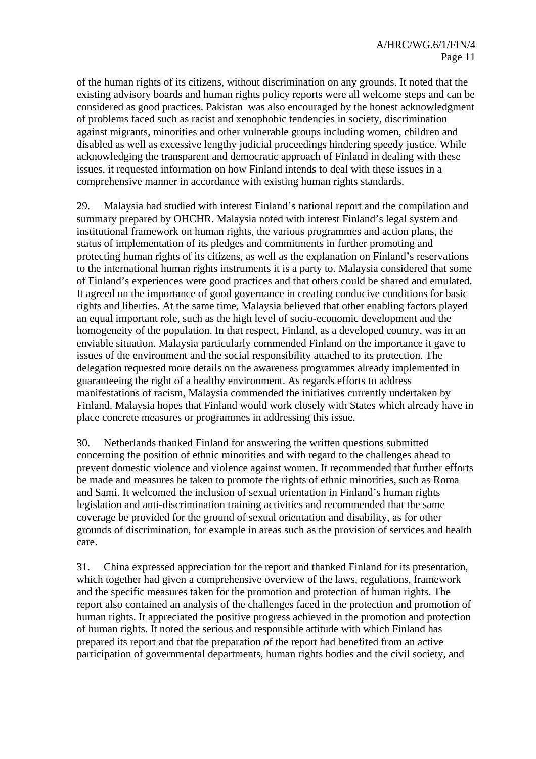of the human rights of its citizens, without discrimination on any grounds. It noted that the existing advisory boards and human rights policy reports were all welcome steps and can be considered as good practices. Pakistan was also encouraged by the honest acknowledgment of problems faced such as racist and xenophobic tendencies in society, discrimination against migrants, minorities and other vulnerable groups including women, children and disabled as well as excessive lengthy judicial proceedings hindering speedy justice. While acknowledging the transparent and democratic approach of Finland in dealing with these issues, it requested information on how Finland intends to deal with these issues in a comprehensive manner in accordance with existing human rights standards.

29. Malaysia had studied with interest Finland's national report and the compilation and summary prepared by OHCHR. Malaysia noted with interest Finland's legal system and institutional framework on human rights, the various programmes and action plans, the status of implementation of its pledges and commitments in further promoting and protecting human rights of its citizens, as well as the explanation on Finland's reservations to the international human rights instruments it is a party to. Malaysia considered that some of Finland's experiences were good practices and that others could be shared and emulated. It agreed on the importance of good governance in creating conducive conditions for basic rights and liberties. At the same time, Malaysia believed that other enabling factors played an equal important role, such as the high level of socio-economic development and the homogeneity of the population. In that respect, Finland, as a developed country, was in an enviable situation. Malaysia particularly commended Finland on the importance it gave to issues of the environment and the social responsibility attached to its protection. The delegation requested more details on the awareness programmes already implemented in guaranteeing the right of a healthy environment. As regards efforts to address manifestations of racism, Malaysia commended the initiatives currently undertaken by Finland. Malaysia hopes that Finland would work closely with States which already have in place concrete measures or programmes in addressing this issue.

30. Netherlands thanked Finland for answering the written questions submitted concerning the position of ethnic minorities and with regard to the challenges ahead to prevent domestic violence and violence against women. It recommended that further efforts be made and measures be taken to promote the rights of ethnic minorities, such as Roma and Sami. It welcomed the inclusion of sexual orientation in Finland's human rights legislation and anti-discrimination training activities and recommended that the same coverage be provided for the ground of sexual orientation and disability, as for other grounds of discrimination, for example in areas such as the provision of services and health care.

31. China expressed appreciation for the report and thanked Finland for its presentation, which together had given a comprehensive overview of the laws, regulations, framework and the specific measures taken for the promotion and protection of human rights. The report also contained an analysis of the challenges faced in the protection and promotion of human rights. It appreciated the positive progress achieved in the promotion and protection of human rights. It noted the serious and responsible attitude with which Finland has prepared its report and that the preparation of the report had benefited from an active participation of governmental departments, human rights bodies and the civil society, and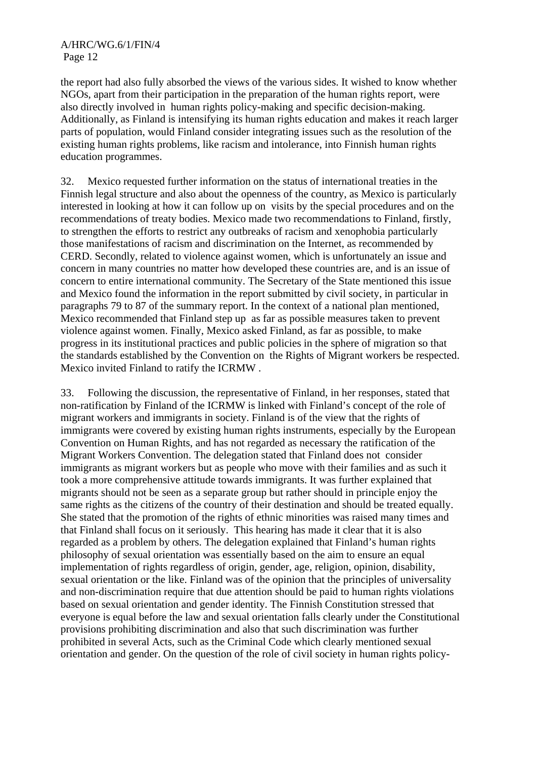the report had also fully absorbed the views of the various sides. It wished to know whether NGOs, apart from their participation in the preparation of the human rights report, were also directly involved in human rights policy-making and specific decision-making. Additionally, as Finland is intensifying its human rights education and makes it reach larger parts of population, would Finland consider integrating issues such as the resolution of the existing human rights problems, like racism and intolerance, into Finnish human rights education programmes.

32. Mexico requested further information on the status of international treaties in the Finnish legal structure and also about the openness of the country, as Mexico is particularly interested in looking at how it can follow up on visits by the special procedures and on the recommendations of treaty bodies. Mexico made two recommendations to Finland, firstly, to strengthen the efforts to restrict any outbreaks of racism and xenophobia particularly those manifestations of racism and discrimination on the Internet, as recommended by CERD. Secondly, related to violence against women, which is unfortunately an issue and concern in many countries no matter how developed these countries are, and is an issue of concern to entire international community. The Secretary of the State mentioned this issue and Mexico found the information in the report submitted by civil society, in particular in paragraphs 79 to 87 of the summary report. In the context of a national plan mentioned, Mexico recommended that Finland step up as far as possible measures taken to prevent violence against women. Finally, Mexico asked Finland, as far as possible, to make progress in its institutional practices and public policies in the sphere of migration so that the standards established by the Convention on the Rights of Migrant workers be respected. Mexico invited Finland to ratify the ICRMW .

33. Following the discussion, the representative of Finland, in her responses, stated that non-ratification by Finland of the ICRMW is linked with Finland's concept of the role of migrant workers and immigrants in society. Finland is of the view that the rights of immigrants were covered by existing human rights instruments, especially by the European Convention on Human Rights, and has not regarded as necessary the ratification of the Migrant Workers Convention. The delegation stated that Finland does not consider immigrants as migrant workers but as people who move with their families and as such it took a more comprehensive attitude towards immigrants. It was further explained that migrants should not be seen as a separate group but rather should in principle enjoy the same rights as the citizens of the country of their destination and should be treated equally. She stated that the promotion of the rights of ethnic minorities was raised many times and that Finland shall focus on it seriously. This hearing has made it clear that it is also regarded as a problem by others. The delegation explained that Finland's human rights philosophy of sexual orientation was essentially based on the aim to ensure an equal implementation of rights regardless of origin, gender, age, religion, opinion, disability, sexual orientation or the like. Finland was of the opinion that the principles of universality and non-discrimination require that due attention should be paid to human rights violations based on sexual orientation and gender identity. The Finnish Constitution stressed that everyone is equal before the law and sexual orientation falls clearly under the Constitutional provisions prohibiting discrimination and also that such discrimination was further prohibited in several Acts, such as the Criminal Code which clearly mentioned sexual orientation and gender. On the question of the role of civil society in human rights policy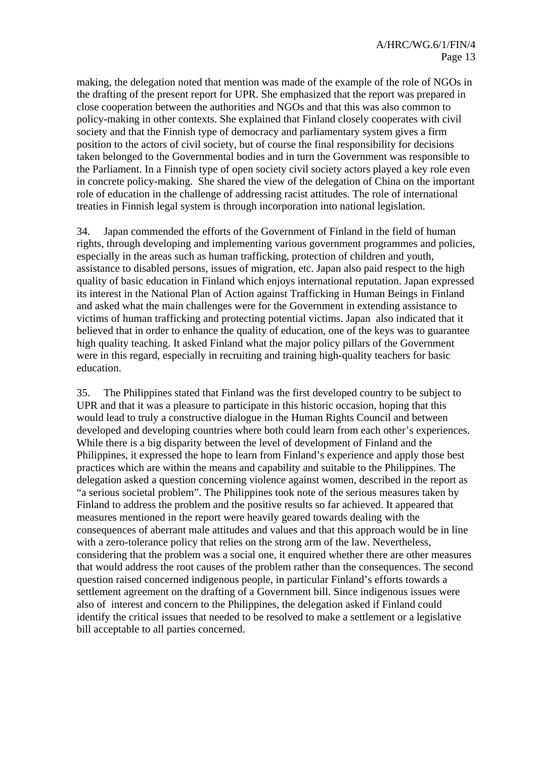making, the delegation noted that mention was made of the example of the role of NGOs in the drafting of the present report for UPR. She emphasized that the report was prepared in close cooperation between the authorities and NGOs and that this was also common to policy-making in other contexts. She explained that Finland closely cooperates with civil society and that the Finnish type of democracy and parliamentary system gives a firm position to the actors of civil society, but of course the final responsibility for decisions taken belonged to the Governmental bodies and in turn the Government was responsible to the Parliament. In a Finnish type of open society civil society actors played a key role even in concrete policy-making. She shared the view of the delegation of China on the important role of education in the challenge of addressing racist attitudes. The role of international treaties in Finnish legal system is through incorporation into national legislation.

34. Japan commended the efforts of the Government of Finland in the field of human rights, through developing and implementing various government programmes and policies, especially in the areas such as human trafficking, protection of children and youth, assistance to disabled persons, issues of migration, etc. Japan also paid respect to the high quality of basic education in Finland which enjoys international reputation. Japan expressed its interest in the National Plan of Action against Trafficking in Human Beings in Finland and asked what the main challenges were for the Government in extending assistance to victims of human trafficking and protecting potential victims. Japan also indicated that it believed that in order to enhance the quality of education, one of the keys was to guarantee high quality teaching. It asked Finland what the major policy pillars of the Government were in this regard, especially in recruiting and training high-quality teachers for basic education.

35. The Philippines stated that Finland was the first developed country to be subject to UPR and that it was a pleasure to participate in this historic occasion, hoping that this would lead to truly a constructive dialogue in the Human Rights Council and between developed and developing countries where both could learn from each other's experiences. While there is a big disparity between the level of development of Finland and the Philippines, it expressed the hope to learn from Finland's experience and apply those best practices which are within the means and capability and suitable to the Philippines. The delegation asked a question concerning violence against women, described in the report as "a serious societal problem". The Philippines took note of the serious measures taken by Finland to address the problem and the positive results so far achieved. It appeared that measures mentioned in the report were heavily geared towards dealing with the consequences of aberrant male attitudes and values and that this approach would be in line with a zero-tolerance policy that relies on the strong arm of the law. Nevertheless, considering that the problem was a social one, it enquired whether there are other measures that would address the root causes of the problem rather than the consequences. The second question raised concerned indigenous people, in particular Finland's efforts towards a settlement agreement on the drafting of a Government bill. Since indigenous issues were also of interest and concern to the Philippines, the delegation asked if Finland could identify the critical issues that needed to be resolved to make a settlement or a legislative bill acceptable to all parties concerned.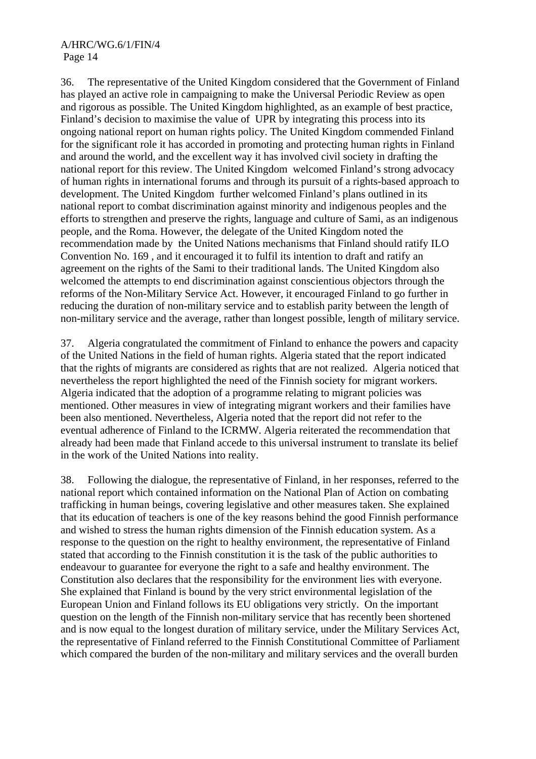36. The representative of the United Kingdom considered that the Government of Finland has played an active role in campaigning to make the Universal Periodic Review as open and rigorous as possible. The United Kingdom highlighted, as an example of best practice, Finland's decision to maximise the value of UPR by integrating this process into its ongoing national report on human rights policy. The United Kingdom commended Finland for the significant role it has accorded in promoting and protecting human rights in Finland and around the world, and the excellent way it has involved civil society in drafting the national report for this review. The United Kingdom welcomed Finland's strong advocacy of human rights in international forums and through its pursuit of a rights-based approach to development. The United Kingdom further welcomed Finland's plans outlined in its national report to combat discrimination against minority and indigenous peoples and the efforts to strengthen and preserve the rights, language and culture of Sami, as an indigenous people, and the Roma. However, the delegate of the United Kingdom noted the recommendation made by the United Nations mechanisms that Finland should ratify ILO Convention No. 169 , and it encouraged it to fulfil its intention to draft and ratify an agreement on the rights of the Sami to their traditional lands. The United Kingdom also welcomed the attempts to end discrimination against conscientious objectors through the reforms of the Non-Military Service Act. However, it encouraged Finland to go further in reducing the duration of non-military service and to establish parity between the length of non-military service and the average, rather than longest possible, length of military service.

37. Algeria congratulated the commitment of Finland to enhance the powers and capacity of the United Nations in the field of human rights. Algeria stated that the report indicated that the rights of migrants are considered as rights that are not realized. Algeria noticed that nevertheless the report highlighted the need of the Finnish society for migrant workers. Algeria indicated that the adoption of a programme relating to migrant policies was mentioned. Other measures in view of integrating migrant workers and their families have been also mentioned. Nevertheless, Algeria noted that the report did not refer to the eventual adherence of Finland to the ICRMW. Algeria reiterated the recommendation that already had been made that Finland accede to this universal instrument to translate its belief in the work of the United Nations into reality.

38. Following the dialogue, the representative of Finland, in her responses, referred to the national report which contained information on the National Plan of Action on combating trafficking in human beings, covering legislative and other measures taken. She explained that its education of teachers is one of the key reasons behind the good Finnish performance and wished to stress the human rights dimension of the Finnish education system. As a response to the question on the right to healthy environment, the representative of Finland stated that according to the Finnish constitution it is the task of the public authorities to endeavour to guarantee for everyone the right to a safe and healthy environment. The Constitution also declares that the responsibility for the environment lies with everyone. She explained that Finland is bound by the very strict environmental legislation of the European Union and Finland follows its EU obligations very strictly. On the important question on the length of the Finnish non-military service that has recently been shortened and is now equal to the longest duration of military service, under the Military Services Act, the representative of Finland referred to the Finnish Constitutional Committee of Parliament which compared the burden of the non-military and military services and the overall burden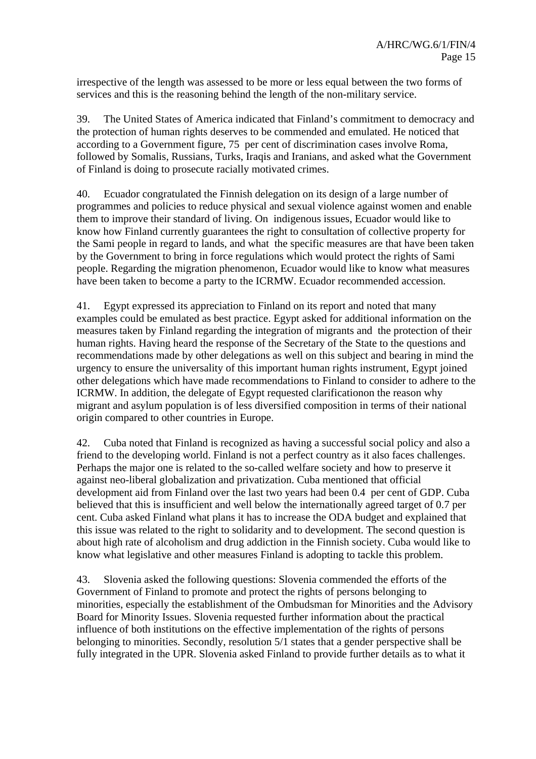irrespective of the length was assessed to be more or less equal between the two forms of services and this is the reasoning behind the length of the non-military service.

39. The United States of America indicated that Finland's commitment to democracy and the protection of human rights deserves to be commended and emulated. He noticed that according to a Government figure, 75 per cent of discrimination cases involve Roma, followed by Somalis, Russians, Turks, Iraqis and Iranians, and asked what the Government of Finland is doing to prosecute racially motivated crimes.

40. Ecuador congratulated the Finnish delegation on its design of a large number of programmes and policies to reduce physical and sexual violence against women and enable them to improve their standard of living. On indigenous issues, Ecuador would like to know how Finland currently guarantees the right to consultation of collective property for the Sami people in regard to lands, and what the specific measures are that have been taken by the Government to bring in force regulations which would protect the rights of Sami people. Regarding the migration phenomenon, Ecuador would like to know what measures have been taken to become a party to the ICRMW. Ecuador recommended accession.

41. Egypt expressed its appreciation to Finland on its report and noted that many examples could be emulated as best practice. Egypt asked for additional information on the measures taken by Finland regarding the integration of migrants and the protection of their human rights. Having heard the response of the Secretary of the State to the questions and recommendations made by other delegations as well on this subject and bearing in mind the urgency to ensure the universality of this important human rights instrument, Egypt joined other delegations which have made recommendations to Finland to consider to adhere to the ICRMW. In addition, the delegate of Egypt requested clarificationon the reason why migrant and asylum population is of less diversified composition in terms of their national origin compared to other countries in Europe.

42. Cuba noted that Finland is recognized as having a successful social policy and also a friend to the developing world. Finland is not a perfect country as it also faces challenges. Perhaps the major one is related to the so-called welfare society and how to preserve it against neo-liberal globalization and privatization. Cuba mentioned that official development aid from Finland over the last two years had been 0.4 per cent of GDP. Cuba believed that this is insufficient and well below the internationally agreed target of 0.7 per cent. Cuba asked Finland what plans it has to increase the ODA budget and explained that this issue was related to the right to solidarity and to development. The second question is about high rate of alcoholism and drug addiction in the Finnish society. Cuba would like to know what legislative and other measures Finland is adopting to tackle this problem.

43. Slovenia asked the following questions: Slovenia commended the efforts of the Government of Finland to promote and protect the rights of persons belonging to minorities, especially the establishment of the Ombudsman for Minorities and the Advisory Board for Minority Issues. Slovenia requested further information about the practical influence of both institutions on the effective implementation of the rights of persons belonging to minorities. Secondly, resolution 5/1 states that a gender perspective shall be fully integrated in the UPR. Slovenia asked Finland to provide further details as to what it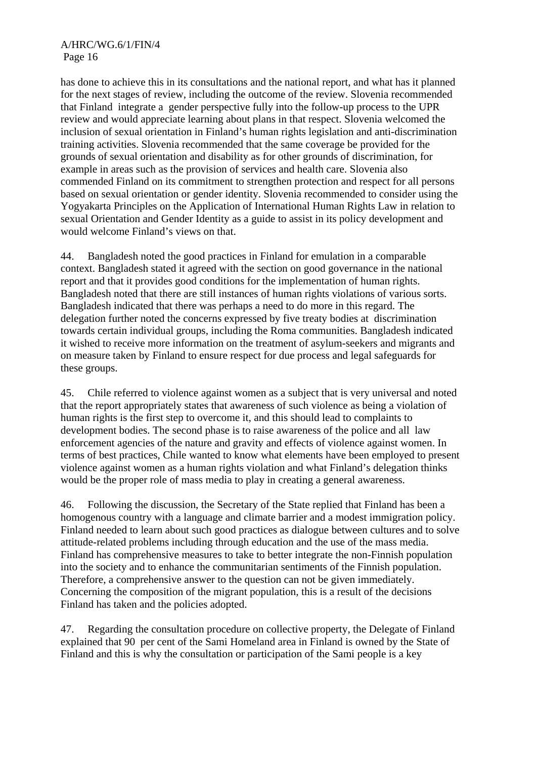has done to achieve this in its consultations and the national report, and what has it planned for the next stages of review, including the outcome of the review. Slovenia recommended that Finland integrate a gender perspective fully into the follow-up process to the UPR review and would appreciate learning about plans in that respect. Slovenia welcomed the inclusion of sexual orientation in Finland's human rights legislation and anti-discrimination training activities. Slovenia recommended that the same coverage be provided for the grounds of sexual orientation and disability as for other grounds of discrimination, for example in areas such as the provision of services and health care. Slovenia also commended Finland on its commitment to strengthen protection and respect for all persons based on sexual orientation or gender identity. Slovenia recommended to consider using the Yogyakarta Principles on the Application of International Human Rights Law in relation to sexual Orientation and Gender Identity as a guide to assist in its policy development and would welcome Finland's views on that.

44. Bangladesh noted the good practices in Finland for emulation in a comparable context. Bangladesh stated it agreed with the section on good governance in the national report and that it provides good conditions for the implementation of human rights. Bangladesh noted that there are still instances of human rights violations of various sorts. Bangladesh indicated that there was perhaps a need to do more in this regard. The delegation further noted the concerns expressed by five treaty bodies at discrimination towards certain individual groups, including the Roma communities. Bangladesh indicated it wished to receive more information on the treatment of asylum-seekers and migrants and on measure taken by Finland to ensure respect for due process and legal safeguards for these groups.

45. Chile referred to violence against women as a subject that is very universal and noted that the report appropriately states that awareness of such violence as being a violation of human rights is the first step to overcome it, and this should lead to complaints to development bodies. The second phase is to raise awareness of the police and all law enforcement agencies of the nature and gravity and effects of violence against women. In terms of best practices, Chile wanted to know what elements have been employed to present violence against women as a human rights violation and what Finland's delegation thinks would be the proper role of mass media to play in creating a general awareness.

46. Following the discussion, the Secretary of the State replied that Finland has been a homogenous country with a language and climate barrier and a modest immigration policy. Finland needed to learn about such good practices as dialogue between cultures and to solve attitude-related problems including through education and the use of the mass media. Finland has comprehensive measures to take to better integrate the non-Finnish population into the society and to enhance the communitarian sentiments of the Finnish population. Therefore, a comprehensive answer to the question can not be given immediately. Concerning the composition of the migrant population, this is a result of the decisions Finland has taken and the policies adopted.

47. Regarding the consultation procedure on collective property, the Delegate of Finland explained that 90 per cent of the Sami Homeland area in Finland is owned by the State of Finland and this is why the consultation or participation of the Sami people is a key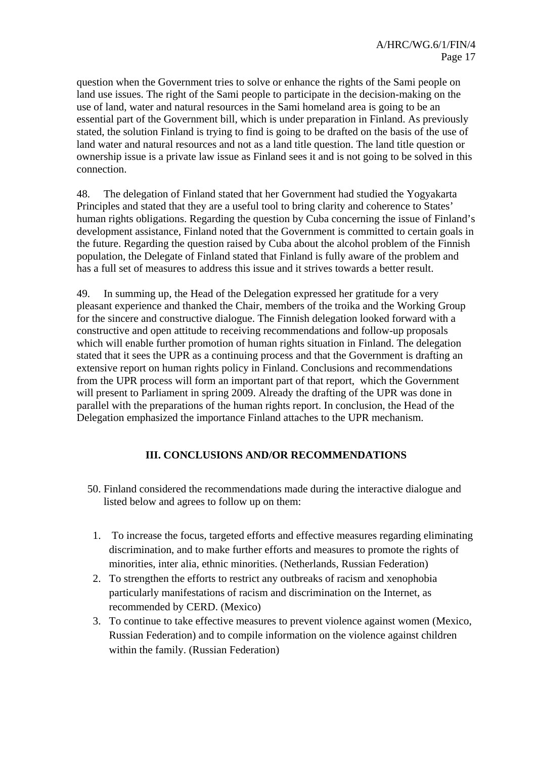question when the Government tries to solve or enhance the rights of the Sami people on land use issues. The right of the Sami people to participate in the decision-making on the use of land, water and natural resources in the Sami homeland area is going to be an essential part of the Government bill, which is under preparation in Finland. As previously stated, the solution Finland is trying to find is going to be drafted on the basis of the use of land water and natural resources and not as a land title question. The land title question or ownership issue is a private law issue as Finland sees it and is not going to be solved in this connection.

48. The delegation of Finland stated that her Government had studied the Yogyakarta Principles and stated that they are a useful tool to bring clarity and coherence to States' human rights obligations. Regarding the question by Cuba concerning the issue of Finland's development assistance, Finland noted that the Government is committed to certain goals in the future. Regarding the question raised by Cuba about the alcohol problem of the Finnish population, the Delegate of Finland stated that Finland is fully aware of the problem and has a full set of measures to address this issue and it strives towards a better result.

49. In summing up, the Head of the Delegation expressed her gratitude for a very pleasant experience and thanked the Chair, members of the troika and the Working Group for the sincere and constructive dialogue. The Finnish delegation looked forward with a constructive and open attitude to receiving recommendations and follow-up proposals which will enable further promotion of human rights situation in Finland. The delegation stated that it sees the UPR as a continuing process and that the Government is drafting an extensive report on human rights policy in Finland. Conclusions and recommendations from the UPR process will form an important part of that report, which the Government will present to Parliament in spring 2009. Already the drafting of the UPR was done in parallel with the preparations of the human rights report. In conclusion, the Head of the Delegation emphasized the importance Finland attaches to the UPR mechanism.

### **III. CONCLUSIONS AND/OR RECOMMENDATIONS**

- 50. Finland considered the recommendations made during the interactive dialogue and listed below and agrees to follow up on them:
- 1. To increase the focus, targeted efforts and effective measures regarding eliminating discrimination, and to make further efforts and measures to promote the rights of minorities, inter alia, ethnic minorities. (Netherlands, Russian Federation)
- 2. To strengthen the efforts to restrict any outbreaks of racism and xenophobia particularly manifestations of racism and discrimination on the Internet, as recommended by CERD. (Mexico)
- 3. To continue to take effective measures to prevent violence against women (Mexico, Russian Federation) and to compile information on the violence against children within the family. (Russian Federation)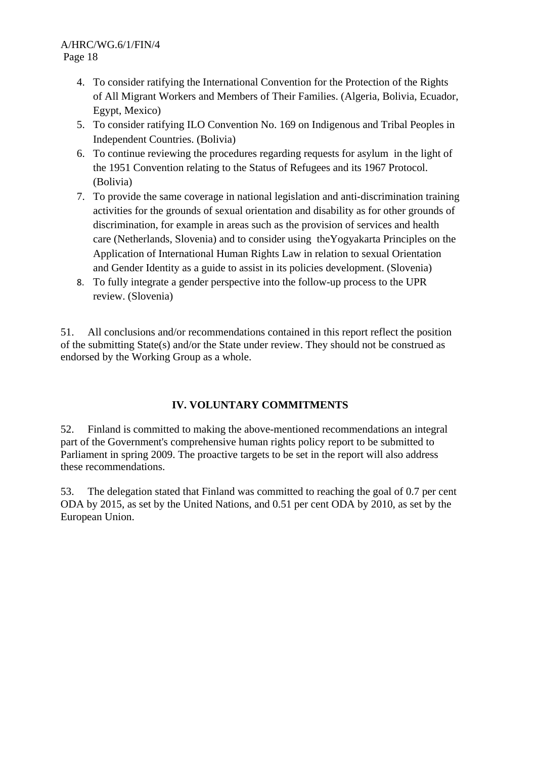- 4. To consider ratifying the International Convention for the Protection of the Rights of All Migrant Workers and Members of Their Families. (Algeria, Bolivia, Ecuador, Egypt, Mexico)
- 5. To consider ratifying ILO Convention No. 169 on Indigenous and Tribal Peoples in Independent Countries. (Bolivia)
- 6. To continue reviewing the procedures regarding requests for asylum in the light of the 1951 Convention relating to the Status of Refugees and its 1967 Protocol. (Bolivia)
- 7. To provide the same coverage in national legislation and anti-discrimination training activities for the grounds of sexual orientation and disability as for other grounds of discrimination, for example in areas such as the provision of services and health care (Netherlands, Slovenia) and to consider using theYogyakarta Principles on the Application of International Human Rights Law in relation to sexual Orientation and Gender Identity as a guide to assist in its policies development. (Slovenia)
- 8. To fully integrate a gender perspective into the follow-up process to the UPR review. (Slovenia)

51. All conclusions and/or recommendations contained in this report reflect the position of the submitting State(s) and/or the State under review. They should not be construed as endorsed by the Working Group as a whole.

## **IV. VOLUNTARY COMMITMENTS**

52. Finland is committed to making the above-mentioned recommendations an integral part of the Government's comprehensive human rights policy report to be submitted to Parliament in spring 2009. The proactive targets to be set in the report will also address these recommendations.

53. The delegation stated that Finland was committed to reaching the goal of 0.7 per cent ODA by 2015, as set by the United Nations, and 0.51 per cent ODA by 2010, as set by the European Union.